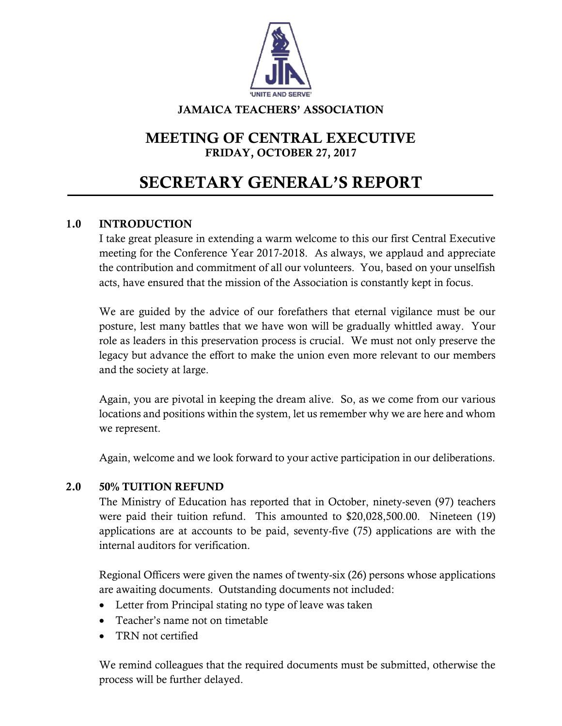

### JAMAICA TEACHERS' ASSOCIATION

## MEETING OF CENTRAL EXECUTIVE FRIDAY, OCTOBER 27, 2017

# SECRETARY GENERAL'S REPORT

## 1.0 INTRODUCTION

I take great pleasure in extending a warm welcome to this our first Central Executive meeting for the Conference Year 2017-2018. As always, we applaud and appreciate the contribution and commitment of all our volunteers. You, based on your unselfish acts, have ensured that the mission of the Association is constantly kept in focus.

We are guided by the advice of our forefathers that eternal vigilance must be our posture, lest many battles that we have won will be gradually whittled away. Your role as leaders in this preservation process is crucial. We must not only preserve the legacy but advance the effort to make the union even more relevant to our members and the society at large.

Again, you are pivotal in keeping the dream alive. So, as we come from our various locations and positions within the system, let us remember why we are here and whom we represent.

Again, welcome and we look forward to your active participation in our deliberations.

#### 2.0 50% TUITION REFUND

The Ministry of Education has reported that in October, ninety-seven (97) teachers were paid their tuition refund. This amounted to \$20,028,500.00. Nineteen (19) applications are at accounts to be paid, seventy-five (75) applications are with the internal auditors for verification.

Regional Officers were given the names of twenty-six (26) persons whose applications are awaiting documents. Outstanding documents not included:

- Letter from Principal stating no type of leave was taken
- Teacher's name not on timetable
- TRN not certified

We remind colleagues that the required documents must be submitted, otherwise the process will be further delayed.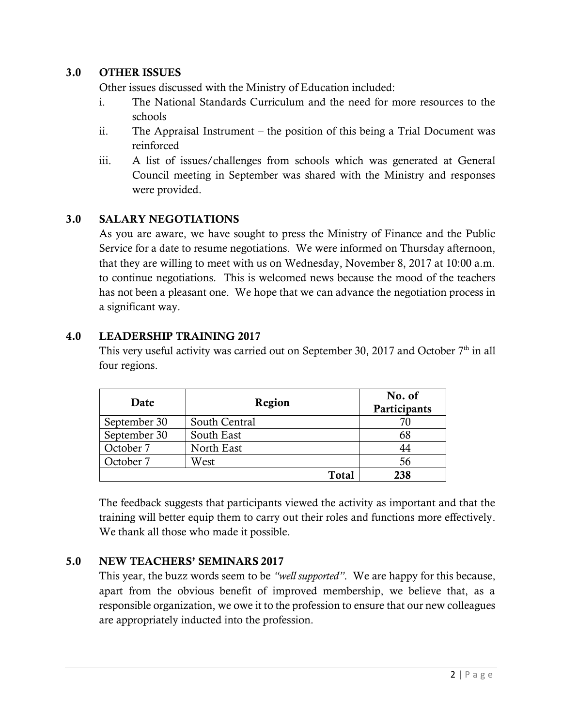## 3.0 OTHER ISSUES

Other issues discussed with the Ministry of Education included:

- i. The National Standards Curriculum and the need for more resources to the schools
- ii. The Appraisal Instrument the position of this being a Trial Document was reinforced
- iii. A list of issues/challenges from schools which was generated at General Council meeting in September was shared with the Ministry and responses were provided.

## 3.0 SALARY NEGOTIATIONS

As you are aware, we have sought to press the Ministry of Finance and the Public Service for a date to resume negotiations. We were informed on Thursday afternoon, that they are willing to meet with us on Wednesday, November 8, 2017 at 10:00 a.m. to continue negotiations. This is welcomed news because the mood of the teachers has not been a pleasant one. We hope that we can advance the negotiation process in a significant way.

## 4.0 LEADERSHIP TRAINING 2017

This very useful activity was carried out on September 30, 2017 and October  $7<sup>th</sup>$  in all four regions.

| Date         | Region        | No. of<br>Participants |
|--------------|---------------|------------------------|
| September 30 | South Central |                        |
| September 30 | South East    | 68                     |
| October 7    | North East    | 44                     |
| October 7    | West          | 56                     |
|              | <b>Total</b>  | 238                    |

The feedback suggests that participants viewed the activity as important and that the training will better equip them to carry out their roles and functions more effectively. We thank all those who made it possible.

## 5.0 NEW TEACHERS' SEMINARS 2017

This year, the buzz words seem to be *"well supported"*. We are happy for this because, apart from the obvious benefit of improved membership, we believe that, as a responsible organization, we owe it to the profession to ensure that our new colleagues are appropriately inducted into the profession.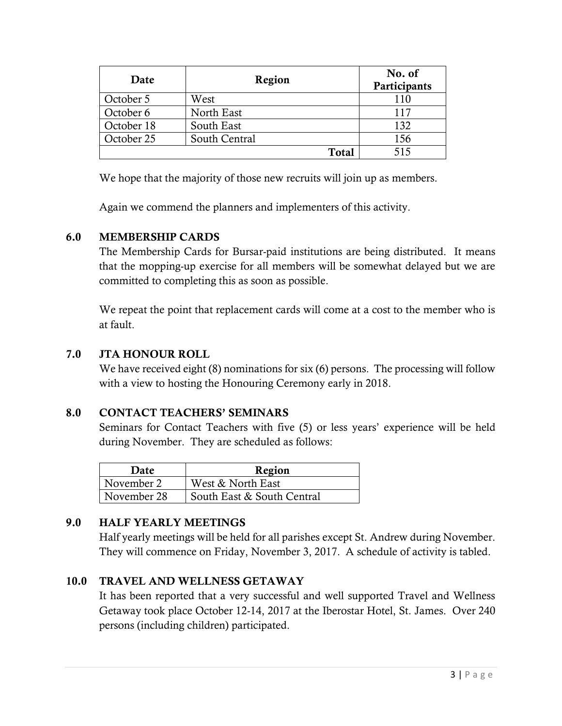| Date       | Region        | No. of<br>Participants |
|------------|---------------|------------------------|
| October 5  | West          | 110                    |
| October 6  | North East    | 117                    |
| October 18 | South East    | 132                    |
| October 25 | South Central | 156                    |
|            | <b>Total</b>  | 515                    |

We hope that the majority of those new recruits will join up as members.

Again we commend the planners and implementers of this activity.

#### 6.0 MEMBERSHIP CARDS

The Membership Cards for Bursar-paid institutions are being distributed. It means that the mopping-up exercise for all members will be somewhat delayed but we are committed to completing this as soon as possible.

We repeat the point that replacement cards will come at a cost to the member who is at fault.

#### 7.0 JTA HONOUR ROLL

We have received eight (8) nominations for six (6) persons. The processing will follow with a view to hosting the Honouring Ceremony early in 2018.

#### 8.0 CONTACT TEACHERS' SEMINARS

Seminars for Contact Teachers with five (5) or less years' experience will be held during November. They are scheduled as follows:

| Date        | Region                     |
|-------------|----------------------------|
| November 2  | West & North East          |
| November 28 | South East & South Central |

## 9.0 HALF YEARLY MEETINGS

Half yearly meetings will be held for all parishes except St. Andrew during November. They will commence on Friday, November 3, 2017. A schedule of activity is tabled.

## 10.0 TRAVEL AND WELLNESS GETAWAY

It has been reported that a very successful and well supported Travel and Wellness Getaway took place October 12-14, 2017 at the Iberostar Hotel, St. James. Over 240 persons (including children) participated.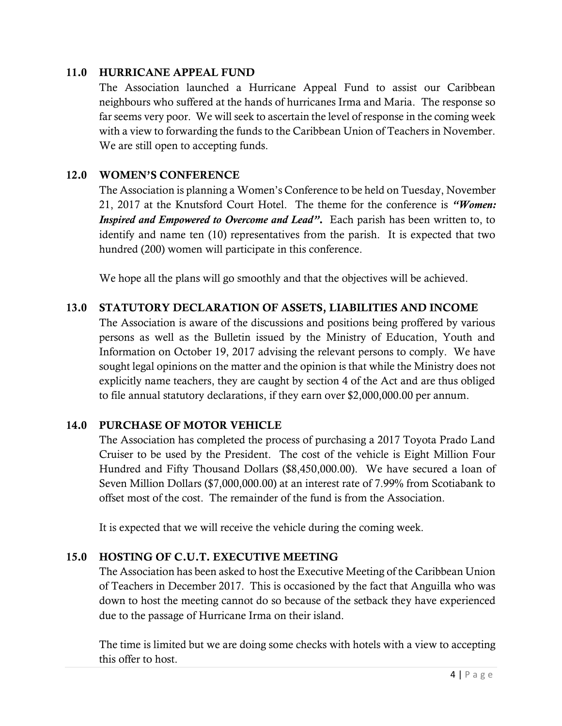#### 11.0 HURRICANE APPEAL FUND

The Association launched a Hurricane Appeal Fund to assist our Caribbean neighbours who suffered at the hands of hurricanes Irma and Maria. The response so far seems very poor. We will seek to ascertain the level of response in the coming week with a view to forwarding the funds to the Caribbean Union of Teachers in November. We are still open to accepting funds.

### 12.0 WOMEN'S CONFERENCE

The Association is planning a Women's Conference to be held on Tuesday, November 21, 2017 at the Knutsford Court Hotel. The theme for the conference is *"Women: Inspired and Empowered to Overcome and Lead"*. Each parish has been written to, to identify and name ten (10) representatives from the parish. It is expected that two hundred (200) women will participate in this conference.

We hope all the plans will go smoothly and that the objectives will be achieved.

#### 13.0 STATUTORY DECLARATION OF ASSETS, LIABILITIES AND INCOME

The Association is aware of the discussions and positions being proffered by various persons as well as the Bulletin issued by the Ministry of Education, Youth and Information on October 19, 2017 advising the relevant persons to comply. We have sought legal opinions on the matter and the opinion is that while the Ministry does not explicitly name teachers, they are caught by section 4 of the Act and are thus obliged to file annual statutory declarations, if they earn over \$2,000,000.00 per annum.

## 14.0 PURCHASE OF MOTOR VEHICLE

The Association has completed the process of purchasing a 2017 Toyota Prado Land Cruiser to be used by the President. The cost of the vehicle is Eight Million Four Hundred and Fifty Thousand Dollars (\$8,450,000.00). We have secured a loan of Seven Million Dollars (\$7,000,000.00) at an interest rate of 7.99% from Scotiabank to offset most of the cost. The remainder of the fund is from the Association.

It is expected that we will receive the vehicle during the coming week.

## 15.0 HOSTING OF C.U.T. EXECUTIVE MEETING

The Association has been asked to host the Executive Meeting of the Caribbean Union of Teachers in December 2017. This is occasioned by the fact that Anguilla who was down to host the meeting cannot do so because of the setback they have experienced due to the passage of Hurricane Irma on their island.

The time is limited but we are doing some checks with hotels with a view to accepting this offer to host.